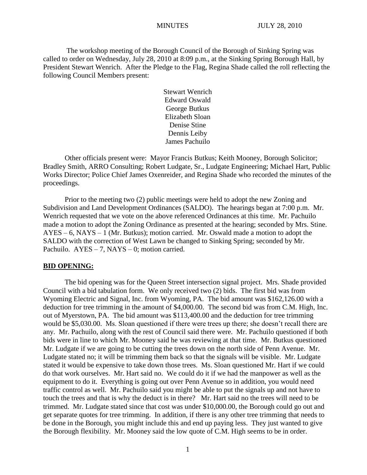The workshop meeting of the Borough Council of the Borough of Sinking Spring was called to order on Wednesday, July 28, 2010 at 8:09 p.m., at the Sinking Spring Borough Hall, by President Stewart Wenrich. After the Pledge to the Flag, Regina Shade called the roll reflecting the following Council Members present:

> Stewart Wenrich Edward Oswald George Butkus Elizabeth Sloan Denise Stine Dennis Leiby James Pachuilo

Other officials present were: Mayor Francis Butkus; Keith Mooney, Borough Solicitor; Bradley Smith, ARRO Consulting; Robert Ludgate, Sr., Ludgate Engineering; Michael Hart, Public Works Director; Police Chief James Oxenreider, and Regina Shade who recorded the minutes of the proceedings.

Prior to the meeting two (2) public meetings were held to adopt the new Zoning and Subdivision and Land Development Ordinances (SALDO). The hearings began at 7:00 p.m. Mr. Wenrich requested that we vote on the above referenced Ordinances at this time. Mr. Pachuilo made a motion to adopt the Zoning Ordinance as presented at the hearing; seconded by Mrs. Stine. AYES – 6, NAYS – 1 (Mr. Butkus); motion carried. Mr. Oswald made a motion to adopt the SALDO with the correction of West Lawn be changed to Sinking Spring; seconded by Mr. Pachuilo.  $AYES - 7$ ,  $NAYS - 0$ ; motion carried.

#### **BID OPENING:**

The bid opening was for the Queen Street intersection signal project. Mrs. Shade provided Council with a bid tabulation form. We only received two (2) bids. The first bid was from Wyoming Electric and Signal, Inc. from Wyoming, PA. The bid amount was \$162,126.00 with a deduction for tree trimming in the amount of \$4,000.00. The second bid was from C.M. High, Inc. out of Myerstown, PA. The bid amount was \$113,400.00 and the deduction for tree trimming would be \$5,030.00. Ms. Sloan questioned if there were trees up there; she doesn't recall there are any. Mr. Pachuilo, along with the rest of Council said there were. Mr. Pachuilo questioned if both bids were in line to which Mr. Mooney said he was reviewing at that time. Mr. Butkus questioned Mr. Ludgate if we are going to be cutting the trees down on the north side of Penn Avenue. Mr. Ludgate stated no; it will be trimming them back so that the signals will be visible. Mr. Ludgate stated it would be expensive to take down those trees. Ms. Sloan questioned Mr. Hart if we could do that work ourselves. Mr. Hart said no. We could do it if we had the manpower as well as the equipment to do it. Everything is going out over Penn Avenue so in addition, you would need traffic control as well. Mr. Pachuilo said you might be able to put the signals up and not have to touch the trees and that is why the deduct is in there? Mr. Hart said no the trees will need to be trimmed. Mr. Ludgate stated since that cost was under \$10,000.00, the Borough could go out and get separate quotes for tree trimming. In addition, if there is any other tree trimming that needs to be done in the Borough, you might include this and end up paying less. They just wanted to give the Borough flexibility. Mr. Mooney said the low quote of C.M. High seems to be in order.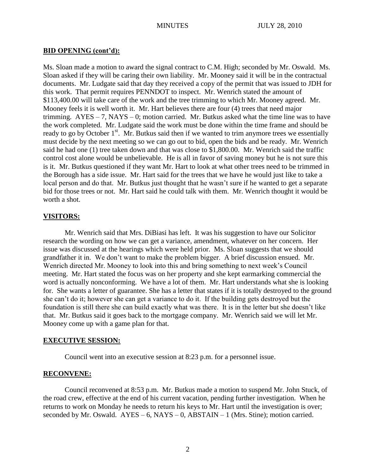## **BID OPENING (cont'd):**

Ms. Sloan made a motion to award the signal contract to C.M. High; seconded by Mr. Oswald. Ms. Sloan asked if they will be caring their own liability. Mr. Mooney said it will be in the contractual documents. Mr. Ludgate said that day they received a copy of the permit that was issued to JDH for this work. That permit requires PENNDOT to inspect. Mr. Wenrich stated the amount of \$113,400.00 will take care of the work and the tree trimming to which Mr. Mooney agreed. Mr. Mooney feels it is well worth it. Mr. Hart believes there are four (4) trees that need major trimming.  $AYES - 7$ ,  $NAYS - 0$ ; motion carried. Mr. Butkus asked what the time line was to have the work completed. Mr. Ludgate said the work must be done within the time frame and should be ready to go by October  $1<sup>st</sup>$ . Mr. Butkus said then if we wanted to trim anymore trees we essentially must decide by the next meeting so we can go out to bid, open the bids and be ready. Mr. Wenrich said he had one (1) tree taken down and that was close to \$1,800.00. Mr. Wenrich said the traffic control cost alone would be unbelievable. He is all in favor of saving money but he is not sure this is it. Mr. Butkus questioned if they want Mr. Hart to look at what other trees need to be trimmed in the Borough has a side issue. Mr. Hart said for the trees that we have he would just like to take a local person and do that. Mr. Butkus just thought that he wasn't sure if he wanted to get a separate bid for those trees or not. Mr. Hart said he could talk with them. Mr. Wenrich thought it would be worth a shot.

## **VISITORS:**

Mr. Wenrich said that Mrs. DiBiasi has left. It was his suggestion to have our Solicitor research the wording on how we can get a variance, amendment, whatever on her concern. Her issue was discussed at the hearings which were held prior. Ms. Sloan suggests that we should grandfather it in. We don't want to make the problem bigger. A brief discussion ensued. Mr. Wenrich directed Mr. Mooney to look into this and bring something to next week's Council meeting. Mr. Hart stated the focus was on her property and she kept earmarking commercial the word is actually nonconforming. We have a lot of them. Mr. Hart understands what she is looking for. She wants a letter of guarantee. She has a letter that states if it is totally destroyed to the ground she can't do it; however she can get a variance to do it. If the building gets destroyed but the foundation is still there she can build exactly what was there. It is in the letter but she doesn't like that. Mr. Butkus said it goes back to the mortgage company. Mr. Wenrich said we will let Mr. Mooney come up with a game plan for that.

## **EXECUTIVE SESSION:**

Council went into an executive session at 8:23 p.m. for a personnel issue.

## **RECONVENE:**

Council reconvened at 8:53 p.m. Mr. Butkus made a motion to suspend Mr. John Stuck, of the road crew, effective at the end of his current vacation, pending further investigation. When he returns to work on Monday he needs to return his keys to Mr. Hart until the investigation is over; seconded by Mr. Oswald.  $AYES - 6$ ,  $NAYS - 0$ ,  $ABSTAIN - 1$  (Mrs. Stine); motion carried.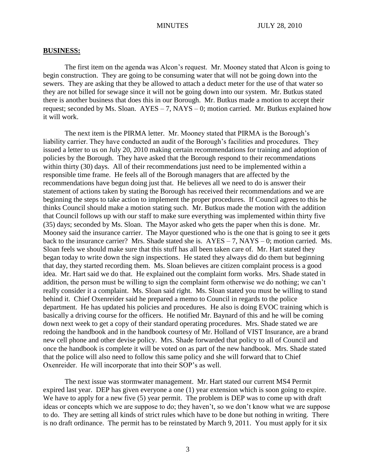#### **BUSINESS:**

The first item on the agenda was Alcon's request. Mr. Mooney stated that Alcon is going to begin construction. They are going to be consuming water that will not be going down into the sewers. They are asking that they be allowed to attach a deduct meter for the use of that water so they are not billed for sewage since it will not be going down into our system. Mr. Butkus stated there is another business that does this in our Borough. Mr. Butkus made a motion to accept their request; seconded by Ms. Sloan.  $AYES - 7$ ,  $NAYS - 0$ ; motion carried. Mr. Butkus explained how it will work.

The next item is the PIRMA letter. Mr. Mooney stated that PIRMA is the Borough's liability carrier. They have conducted an audit of the Borough's facilities and procedures. They issued a letter to us on July 20, 2010 making certain recommendations for training and adoption of policies by the Borough. They have asked that the Borough respond to their recommendations within thirty (30) days. All of their recommendations just need to be implemented within a responsible time frame. He feels all of the Borough managers that are affected by the recommendations have begun doing just that. He believes all we need to do is answer their statement of actions taken by stating the Borough has received their recommendations and we are beginning the steps to take action to implement the proper procedures. If Council agrees to this he thinks Council should make a motion stating such. Mr. Butkus made the motion with the addition that Council follows up with our staff to make sure everything was implemented within thirty five (35) days; seconded by Ms. Sloan. The Mayor asked who gets the paper when this is done. Mr. Mooney said the insurance carrier. The Mayor questioned who is the one that is going to see it gets back to the insurance carrier? Mrs. Shade stated she is.  $AYES - 7$ ,  $NAYS - 0$ ; motion carried. Ms. Sloan feels we should make sure that this stuff has all been taken care of. Mr. Hart stated they began today to write down the sign inspections. He stated they always did do them but beginning that day, they started recording them. Ms. Sloan believes are citizen complaint process is a good idea. Mr. Hart said we do that. He explained out the complaint form works. Mrs. Shade stated in addition, the person must be willing to sign the complaint form otherwise we do nothing; we can't really consider it a complaint. Ms. Sloan said right. Ms. Sloan stated you must be willing to stand behind it. Chief Oxenreider said he prepared a memo to Council in regards to the police department. He has updated his policies and procedures. He also is doing EVOC training which is basically a driving course for the officers. He notified Mr. Baynard of this and he will be coming down next week to get a copy of their standard operating procedures. Mrs. Shade stated we are redoing the handbook and in the handbook courtesy of Mr. Holland of VIST Insurance, are a brand new cell phone and other devise policy. Mrs. Shade forwarded that policy to all of Council and once the handbook is complete it will be voted on as part of the new handbook. Mrs. Shade stated that the police will also need to follow this same policy and she will forward that to Chief Oxenreider. He will incorporate that into their SOP's as well.

The next issue was stormwater management. Mr. Hart stated our current MS4 Permit expired last year. DEP has given everyone a one (1) year extension which is soon going to expire. We have to apply for a new five (5) year permit. The problem is DEP was to come up with draft ideas or concepts which we are suppose to do; they haven't, so we don't know what we are suppose to do. They are setting all kinds of strict rules which have to be done but nothing in writing. There is no draft ordinance. The permit has to be reinstated by March 9, 2011. You must apply for it six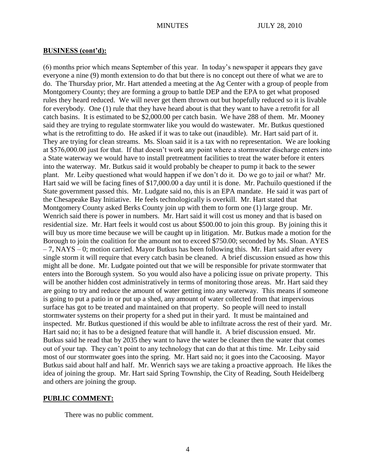#### **BUSINESS (cont'd):**

(6) months prior which means September of this year. In today's newspaper it appears they gave everyone a nine (9) month extension to do that but there is no concept out there of what we are to do. The Thursday prior, Mr. Hart attended a meeting at the Ag Center with a group of people from Montgomery County; they are forming a group to battle DEP and the EPA to get what proposed rules they heard reduced. We will never get them thrown out but hopefully reduced so it is livable for everybody. One (1) rule that they have heard about is that they want to have a retrofit for all catch basins. It is estimated to be \$2,000.00 per catch basin. We have 288 of them. Mr. Mooney said they are trying to regulate stormwater like you would do wastewater. Mr. Butkus questioned what is the retrofitting to do. He asked if it was to take out (inaudible). Mr. Hart said part of it. They are trying for clean streams. Ms. Sloan said it is a tax with no representation. We are looking at \$576,000.00 just for that. If that doesn't work any point where a stormwater discharge enters into a State waterway we would have to install pretreatment facilities to treat the water before it enters into the waterway. Mr. Butkus said it would probably be cheaper to pump it back to the sewer plant. Mr. Leiby questioned what would happen if we don't do it. Do we go to jail or what? Mr. Hart said we will be facing fines of \$17,000.00 a day until it is done. Mr. Pachuilo questioned if the State government passed this. Mr. Ludgate said no, this is an EPA mandate. He said it was part of the Chesapeake Bay Initiative. He feels technologically is overkill. Mr. Hart stated that Montgomery County asked Berks County join up with them to form one (1) large group. Mr. Wenrich said there is power in numbers. Mr. Hart said it will cost us money and that is based on residential size. Mr. Hart feels it would cost us about \$500.00 to join this group. By joining this it will buy us more time because we will be caught up in litigation. Mr. Butkus made a motion for the Borough to join the coalition for the amount not to exceed \$750.00; seconded by Ms. Sloan. AYES  $-7$ , NAYS – 0; motion carried. Mayor Butkus has been following this. Mr. Hart said after every single storm it will require that every catch basin be cleaned. A brief discussion ensued as how this might all be done. Mr. Ludgate pointed out that we will be responsible for private stormwater that enters into the Borough system. So you would also have a policing issue on private property. This will be another hidden cost administratively in terms of monitoring those areas. Mr. Hart said they are going to try and reduce the amount of water getting into any waterway. This means if someone is going to put a patio in or put up a shed, any amount of water collected from that impervious surface has got to be treated and maintained on that property. So people will need to install stormwater systems on their property for a shed put in their yard. It must be maintained and inspected. Mr. Butkus questioned if this would be able to infiltrate across the rest of their yard. Mr. Hart said no; it has to be a designed feature that will handle it. A brief discussion ensued. Mr. Butkus said he read that by 2035 they want to have the water be cleaner then the water that comes out of your tap. They can't point to any technology that can do that at this time. Mr. Leiby said most of our stormwater goes into the spring. Mr. Hart said no; it goes into the Cacoosing. Mayor Butkus said about half and half. Mr. Wenrich says we are taking a proactive approach. He likes the idea of joining the group. Mr. Hart said Spring Township, the City of Reading, South Heidelberg and others are joining the group.

#### **PUBLIC COMMENT:**

There was no public comment.